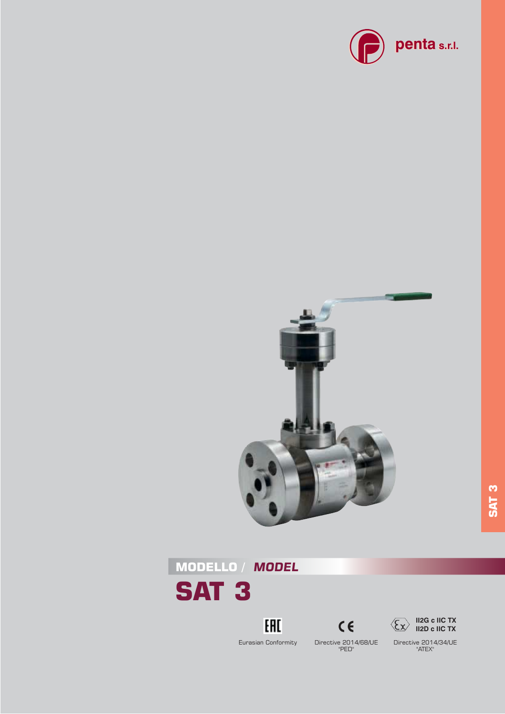











**SAT 3**

Directive 2014/34/UE "ATEX"

Eurasian Conformity

Directive 2014/68/UE "PED"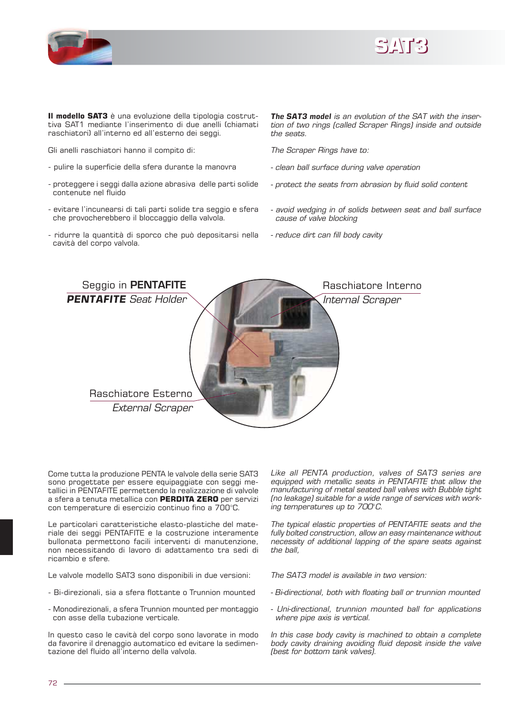



**Il modello SAT3** è una evoluzione della tipologia costruttiva SAT1 mediante l'inserimento di due anelli (chiamati raschiatori) all'interno ed all'esterno dei seggi.

Gli anelli raschiatori hanno il compito di:

- pulire la superficie della sfera durante la manovra
- proteggere i seggi dalla azione abrasiva delle parti solide contenute nel fluido
- evitare l'incunearsi di tali parti solide tra seggio e sfera che provocherebbero il bloccaggio della valvola.
- ridurre la quantità di sporco che può depositarsi nella cavità del corpo valvola.

*The SAT3 model is an evolution of the SAT with the inser*tion of two rings (called Scraper Rings) inside and outside *the seats.*

*The Scraper Rings have to:*

- *clean ball surface during valve operation*
- *protect the seats from abrasion by fluid solid content*
- *avoid wedging in of solids between seat and ball surface cause of valve blocking*
- *reduce dirt can fill body cavity*



Come tutta la produzione PENTA le valvole della serie SAT3 sono progettate per essere equipaggiate con seggi metallici in PENTAFITE permettendo la realizzazione di valvole a sfera a tenuta metallica con **PERDITA ZERO** per servizi con temperature di esercizio continuo fino a 700°C.

Le particolari caratteristiche elasto-plastiche del materiale dei seggi PENTAFITE e la costruzione interamente bullonata permettono facili interventi di manutenzione, non necessitando di lavoro di adattamento tra sedi di ricambio e sfere.

Le valvole modello SAT3 sono disponibili in due versioni:

- Bi-direzionali, sia a sfera flottante o Trunnion mounted
- Monodirezionali, a sfera Trunnion mounted per montaggio con asse della tubazione verticale.

In questo caso le cavità del corpo sono lavorate in modo da favorire il drenaggio automatico ed evitare la sedimentazione del fluido all'interno della valvola.

*Like all PENTA production, valves of SAT3 series are equipped with metallic seats in PENTAFITE that allow the manufacturing of metal seated ball valves with Bubble tight (no leakage)* suitable for a wide range of services with work*ing temperatures up to 700*°*C.*

*The typical elastic properties of PENTAFITE seats and the fully bolted construction, allow an easy maintenance without necessity of additional lapping of the spare seats against the ball,* 

*The SAT3 model is available in two version:*

- *Bi-directional, both with floating ball or trunnion mounted*
- *Uni-directional, trunnion mounted ball for applications where pipe axis is vertical.*

*In this case body cavity is machined to obtain a complete body cavity draining avoiding fluid deposit inside the valve (best for bottom tank valves).*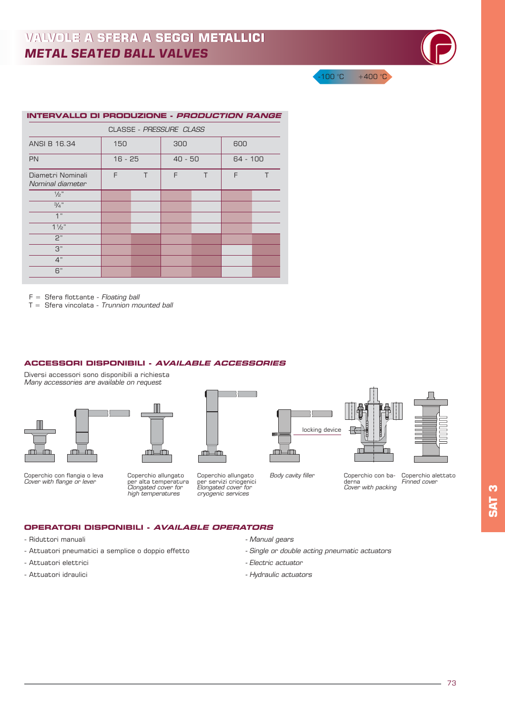| <b>INTERVALLO DI PRODUZIONE - <i>PRODUCTION RANGE</i></b> |           |   |           |   |          |   |  |
|-----------------------------------------------------------|-----------|---|-----------|---|----------|---|--|
| CLASSE - PRESSURE CLASS                                   |           |   |           |   |          |   |  |
| ANSI B 16,34                                              | 150       |   | 300       |   | 600      |   |  |
| <b>PN</b>                                                 | $16 - 25$ |   | $40 - 50$ |   | 64 - 100 |   |  |
| Diametri Nominali<br>Nominal diameter                     | F         | T | F         | T | F        | т |  |
| 1/2"                                                      |           |   |           |   |          |   |  |
| $\frac{3}{4}$ "                                           |           |   |           |   |          |   |  |
| 1"                                                        |           |   |           |   |          |   |  |
| $1\frac{1}{2}$                                            |           |   |           |   |          |   |  |
| P"                                                        |           |   |           |   |          |   |  |
| 3"                                                        |           |   |           |   |          |   |  |
| 4"                                                        |           |   |           |   |          |   |  |
| 6"                                                        |           |   |           |   |          |   |  |

F = Sfera flottante - *Floating ball*

T = Sfera vincolata - *Trunnion mounted ball*

#### **ACCESSORI DISPONIBILI - AVAILABLE ACCESSORIES**

Diversi accessori sono disponibili a richiesta *Many accessories are available on request*









Coperchio allungato per alta temperatura *Clongated cover for high temperatures*

Coperchio allungato per servizi criogenici *Elongated cover for cryogenic services*



derna

 $100 °C + 400 °C$ 



*Finned cover* Coperchio con ba-*Cover with packing*

Coperchio alettato

## **OPERATORI DISPONIBILI - AVAILABLE OPERATORS**

- Riduttori manuali  *Manual gears*
- Attuatori pneumatici a semplice o doppio effetto  *Single or double acting pneumatic actuators*
- Attuatori elettrici  *Electric actuator*
- 
- 
- 
- 
- Attuatori idraulici  *Hydraulic actuators*

*Body cavity filler*